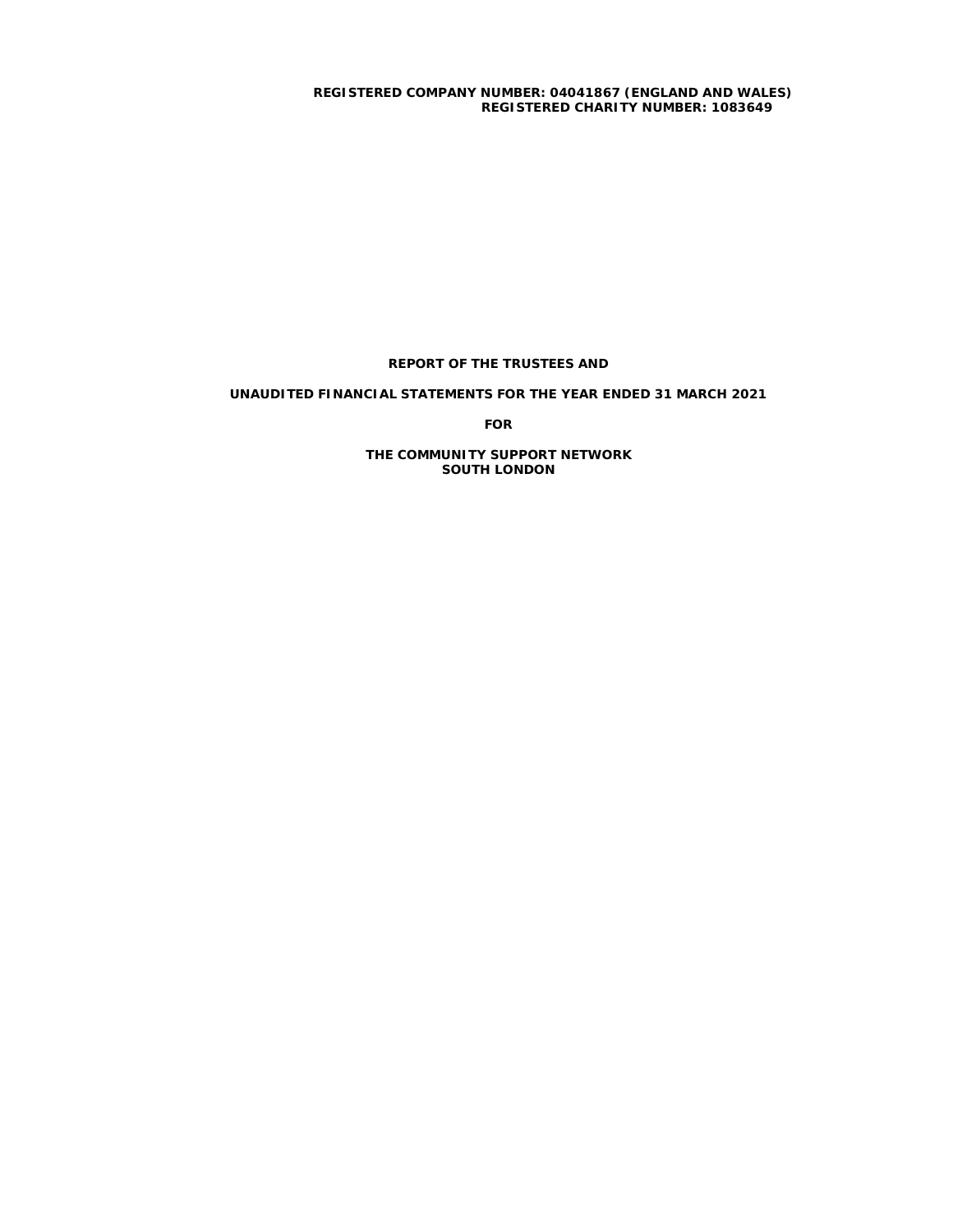**REGISTERED COMPANY NUMBER: 04041867 (ENGLAND AND WALES) REGISTERED CHARITY NUMBER: 1083649**

# **REPORT OF THE TRUSTEES AND**

# **UNAUDITED FINANCIAL STATEMENTS FOR THE YEAR ENDED 31 MARCH 2021**

**FOR**

**THE COMMUNITY SUPPORT NETWORK SOUTH LONDON**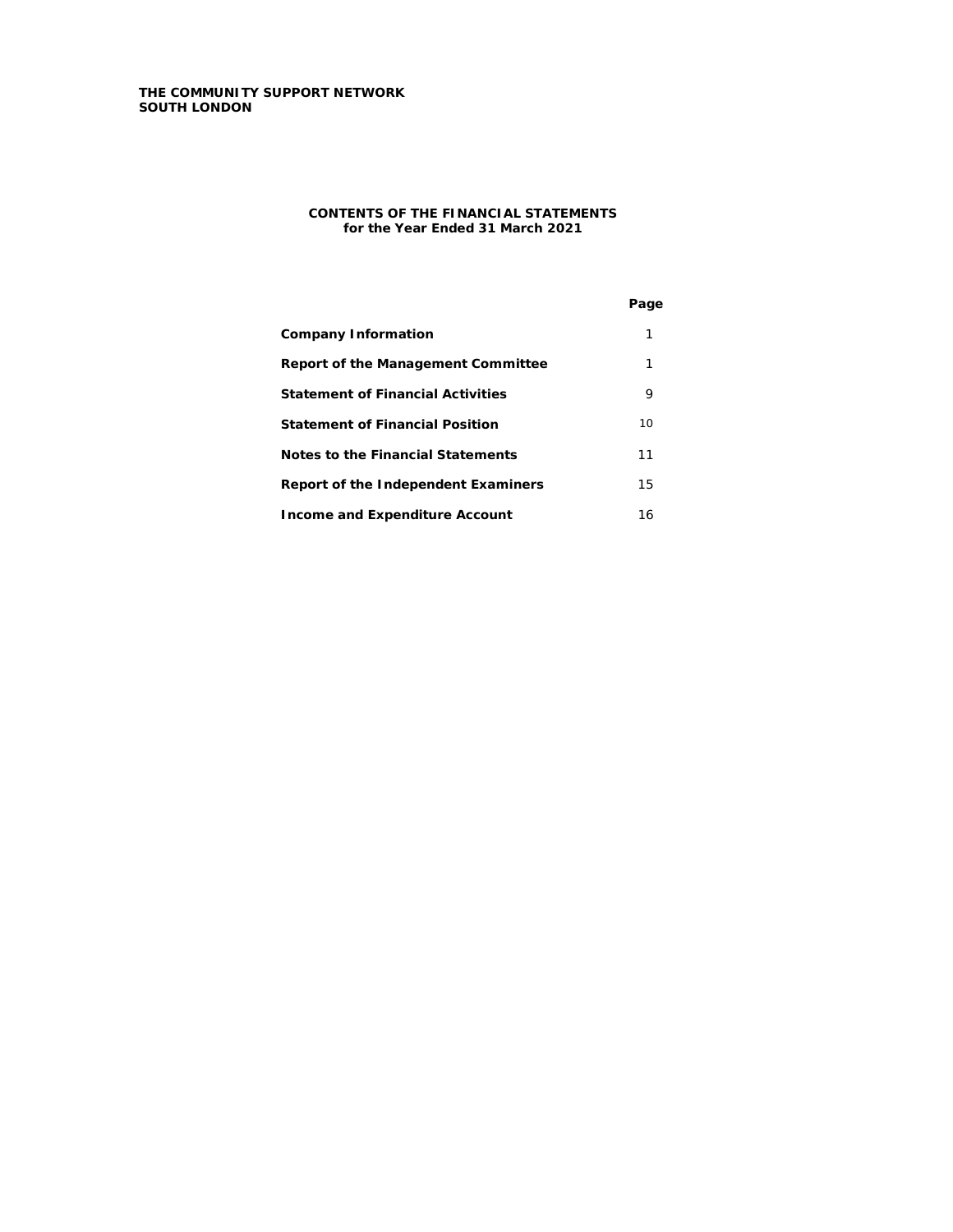## **CONTENTS OF THE FINANCIAL STATEMENTS for the Year Ended 31 March 2021**

|                                          | Page |
|------------------------------------------|------|
| <b>Company Information</b>               | 1    |
| Report of the Management Committee       | 1    |
| <b>Statement of Financial Activities</b> | 9    |
| <b>Statement of Financial Position</b>   | 10   |
| Notes to the Financial Statements        | 11   |
| Report of the Independent Examiners      | 15   |
| <b>Income and Expenditure Account</b>    | 16   |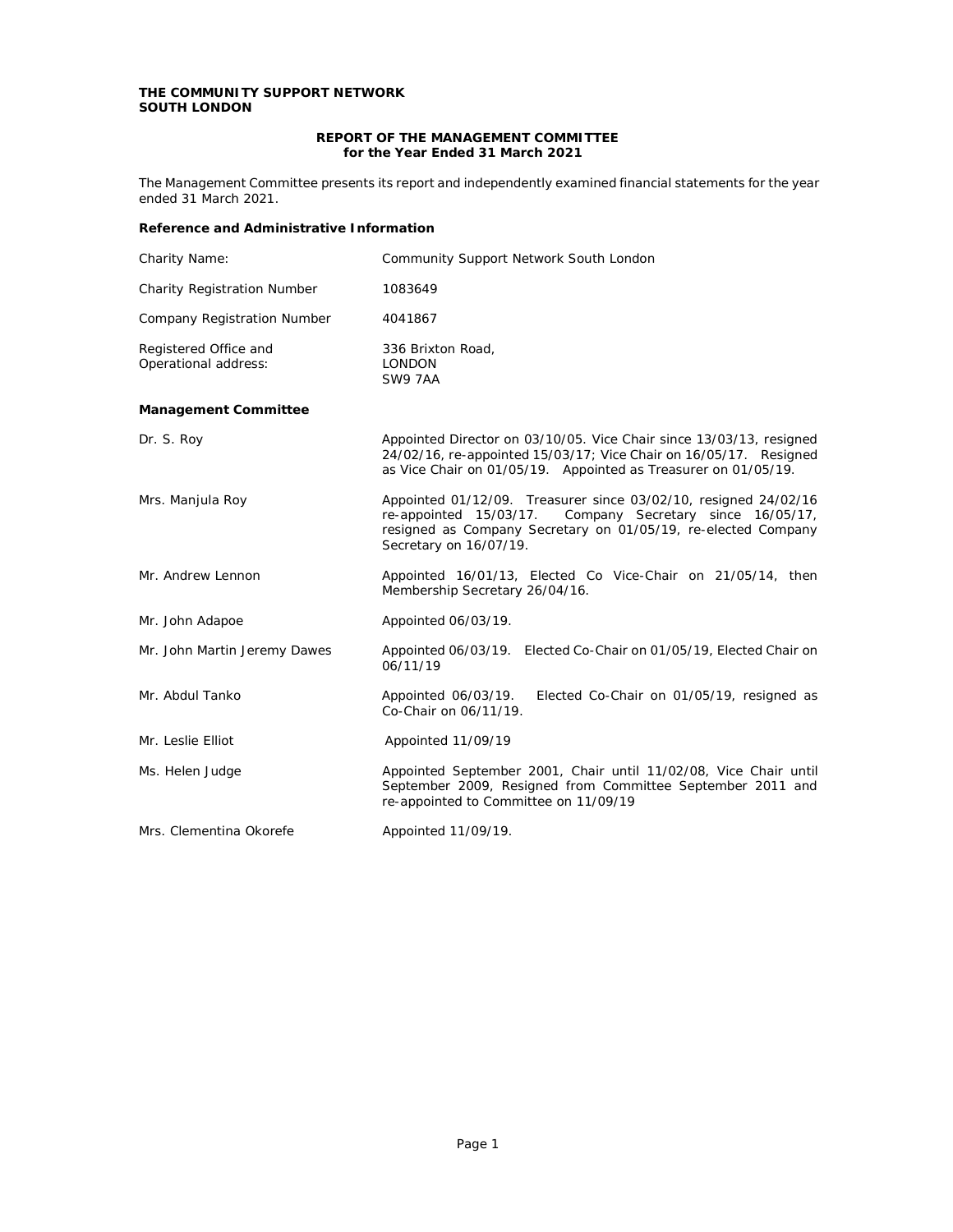# **REPORT OF THE MANAGEMENT COMMITTEE for the Year Ended 31 March 2021**

The Management Committee presents its report and independently examined financial statements for the year ended 31 March 2021.

# **Reference and Administrative Information**

| <b>Charity Name:</b>                                 | <b>Community Support Network South London</b>                                                                                                                                                                             |
|------------------------------------------------------|---------------------------------------------------------------------------------------------------------------------------------------------------------------------------------------------------------------------------|
| <b>Charity Registration Number</b>                   | 1083649                                                                                                                                                                                                                   |
| <b>Company Registration Number</b>                   | 4041867                                                                                                                                                                                                                   |
| Registered Office and<br><b>Operational address:</b> | 336 Brixton Road,<br><b>LONDON</b><br><b>SW9 7AA</b>                                                                                                                                                                      |
| <b>Management Committee</b>                          |                                                                                                                                                                                                                           |
| Dr. S. Roy                                           | Appointed Director on 03/10/05. Vice Chair since 13/03/13, resigned<br>24/02/16, re-appointed 15/03/17; Vice Chair on 16/05/17. Resigned<br>as Vice Chair on 01/05/19. Appointed as Treasurer on 01/05/19.                |
| Mrs. Manjula Roy                                     | Appointed 01/12/09. Treasurer since 03/02/10, resigned 24/02/16<br>Company Secretary since 16/05/17,<br>re-appointed 15/03/17.<br>resigned as Company Secretary on 01/05/19, re-elected Company<br>Secretary on 16/07/19. |
| Mr. Andrew Lennon                                    | Appointed 16/01/13, Elected Co Vice-Chair on 21/05/14, then<br>Membership Secretary 26/04/16.                                                                                                                             |
| Mr. John Adapoe                                      | Appointed 06/03/19.                                                                                                                                                                                                       |
| Mr. John Martin Jeremy Dawes                         | Appointed 06/03/19. Elected Co-Chair on 01/05/19, Elected Chair on<br>06/11/19                                                                                                                                            |
| Mr. Abdul Tanko                                      | Appointed 06/03/19.<br>Elected Co-Chair on 01/05/19, resigned as<br>Co-Chair on 06/11/19.                                                                                                                                 |
| Mr. Leslie Elliot                                    | Appointed 11/09/19                                                                                                                                                                                                        |
| Ms. Helen Judge                                      | Appointed September 2001, Chair until 11/02/08, Vice Chair until<br>September 2009, Resigned from Committee September 2011 and<br>re-appointed to Committee on 11/09/19                                                   |
| Mrs. Clementina Okorefe                              | Appointed 11/09/19.                                                                                                                                                                                                       |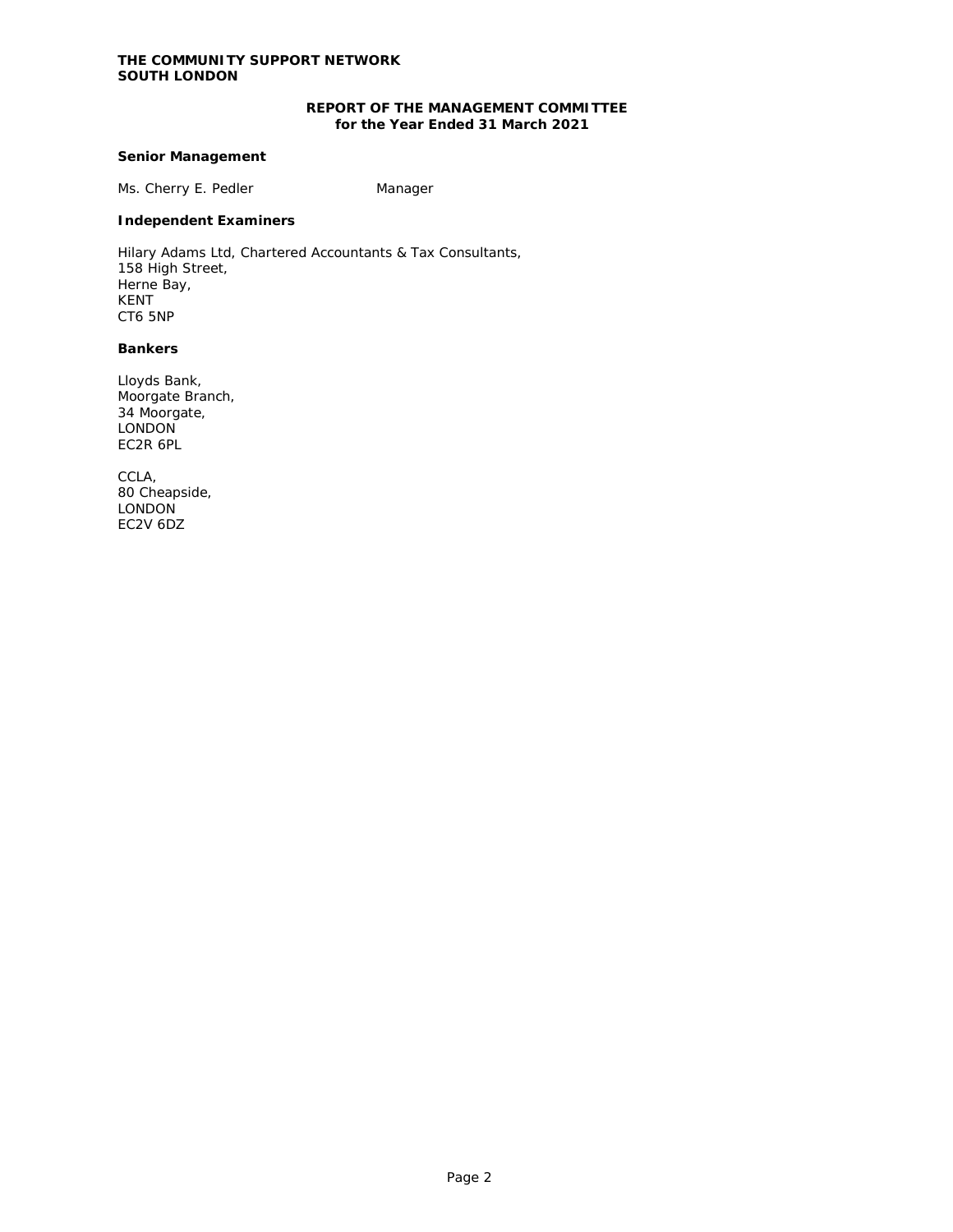# **REPORT OF THE MANAGEMENT COMMITTEE for the Year Ended 31 March 2021**

# **Senior Management**

Ms. Cherry E. Pedler Manager

# **Independent Examiners**

Hilary Adams Ltd, Chartered Accountants & Tax Consultants, 158 High Street, Herne Bay, KENT CT6 5NP

## **Bankers**

Lloyds Bank, Moorgate Branch, 34 Moorgate, **LONDON** EC2R 6PL

CCLA, 80 Cheapside, **LONDON** EC2V 6DZ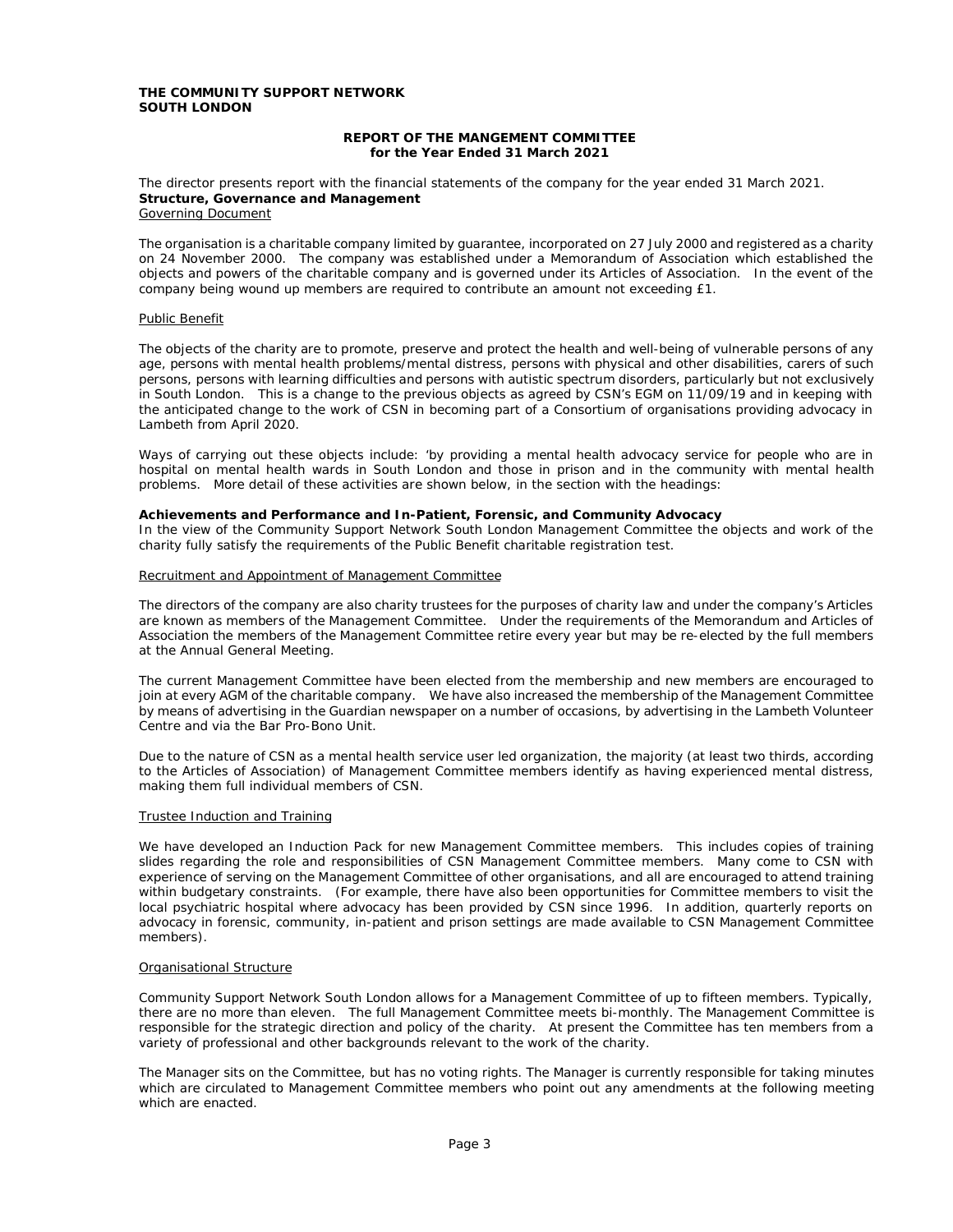### **REPORT OF THE MANGEMENT COMMITTEE for the Year Ended 31 March 2021**

#### The director presents report with the financial statements of the company for the year ended 31 March 2021. **Structure, Governance and Management** Governing Document

The organisation is a charitable company limited by guarantee, incorporated on 27 July 2000 and registered as a charity on 24 November 2000. The company was established under a Memorandum of Association which established the objects and powers of the charitable company and is governed under its Articles of Association. In the event of the company being wound up members are required to contribute an amount not exceeding £1.

### Public Benefit

The objects of the charity are to promote, preserve and protect the health and well-being of vulnerable persons of any age, persons with mental health problems/mental distress, persons with physical and other disabilities, carers of such persons, persons with learning difficulties and persons with autistic spectrum disorders, particularly but not exclusively in South London. This is a change to the previous objects as agreed by CSN's EGM on 11/09/19 and in keeping with the anticipated change to the work of CSN in becoming part of a Consortium of organisations providing advocacy in Lambeth from April 2020.

Ways of carrying out these objects include: 'by providing a mental health advocacy service for people who are in hospital on mental health wards in South London and those in prison and in the community with mental health problems. More detail of these activities are shown below, in the section with the headings:

### **Achievements and Performance and In-Patient, Forensic, and Community Advocacy**

In the view of the Community Support Network South London Management Committee the objects and work of the charity fully satisfy the requirements of the Public Benefit charitable registration test.

### Recruitment and Appointment of Management Committee

The directors of the company are also charity trustees for the purposes of charity law and under the company's Articles are known as members of the Management Committee. Under the requirements of the Memorandum and Articles of Association the members of the Management Committee retire every year but may be re-elected by the full members at the Annual General Meeting.

The current Management Committee have been elected from the membership and new members are encouraged to join at every AGM of the charitable company. We have also increased the membership of the Management Committee by means of advertising in the Guardian newspaper on a number of occasions, by advertising in the Lambeth Volunteer Centre and via the Bar Pro-Bono Unit.

Due to the nature of CSN as a mental health service user led organization, the majority (at least two thirds, according to the Articles of Association) of Management Committee members identify as having experienced mental distress, making them full individual members of CSN.

### Trustee Induction and Training

We have developed an Induction Pack for new Management Committee members. This includes copies of training slides regarding the role and responsibilities of CSN Management Committee members. Many come to CSN with experience of serving on the Management Committee of other organisations, and all are encouraged to attend training within budgetary constraints. (For example, there have also been opportunities for Committee members to visit the local psychiatric hospital where advocacy has been provided by CSN since 1996. In addition, quarterly reports on advocacy in forensic, community, in-patient and prison settings are made available to CSN Management Committee members).

#### Organisational Structure

Community Support Network South London allows for a Management Committee of up to fifteen members. Typically, there are no more than eleven. The full Management Committee meets bi-monthly. The Management Committee is responsible for the strategic direction and policy of the charity. At present the Committee has ten members from a variety of professional and other backgrounds relevant to the work of the charity.

The Manager sits on the Committee, but has no voting rights. The Manager is currently responsible for taking minutes which are circulated to Management Committee members who point out any amendments at the following meeting which are enacted.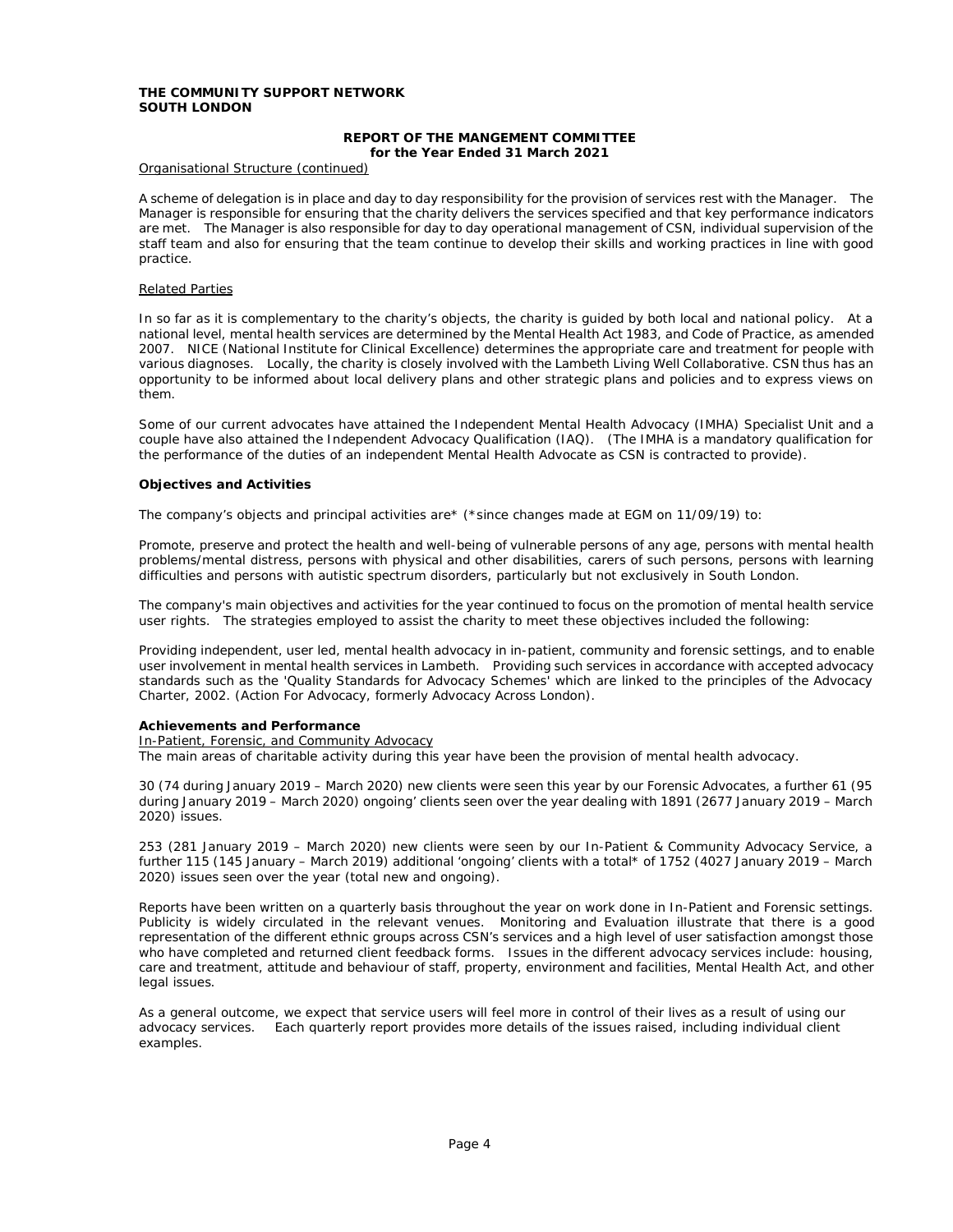### **REPORT OF THE MANGEMENT COMMITTEE for the Year Ended 31 March 2021**

#### Organisational Structure (continued)

A scheme of delegation is in place and day to day responsibility for the provision of services rest with the Manager. The Manager is responsible for ensuring that the charity delivers the services specified and that key performance indicators are met. The Manager is also responsible for day to day operational management of CSN, individual supervision of the staff team and also for ensuring that the team continue to develop their skills and working practices in line with good practice.

#### Related Parties

In so far as it is complementary to the charity's objects, the charity is guided by both local and national policy. At a national level, mental health services are determined by the Mental Health Act 1983, and Code of Practice, as amended 2007. NICE (National Institute for Clinical Excellence) determines the appropriate care and treatment for people with various diagnoses. Locally, the charity is closely involved with the Lambeth Living Well Collaborative. CSN thus has an opportunity to be informed about local delivery plans and other strategic plans and policies and to express views on them.

Some of our current advocates have attained the Independent Mental Health Advocacy (IMHA) Specialist Unit and a couple have also attained the Independent Advocacy Qualification (IAQ). (The IMHA is a mandatory qualification for the performance of the duties of an independent Mental Health Advocate as CSN is contracted to provide).

### **Objectives and Activities**

The company's objects and principal activities are\* (\*since changes made at EGM on 11/09/19) to:

Promote, preserve and protect the health and well-being of vulnerable persons of any age, persons with mental health problems/mental distress, persons with physical and other disabilities, carers of such persons, persons with learning difficulties and persons with autistic spectrum disorders, particularly but not exclusively in South London.

The company's main objectives and activities for the year continued to focus on the promotion of mental health service user rights. The strategies employed to assist the charity to meet these objectives included the following:

Providing independent, user led, mental health advocacy in in-patient, community and forensic settings, and to enable user involvement in mental health services in Lambeth. Providing such services in accordance with accepted advocacy standards such as the 'Quality Standards for Advocacy Schemes' which are linked to the principles of the Advocacy Charter, 2002. (Action For Advocacy, formerly Advocacy Across London).

#### **Achievements and Performance**

In-Patient, Forensic, and Community Advocacy

The main areas of charitable activity during this year have been the provision of mental health advocacy.

30 (74 during January 2019 – March 2020) new clients were seen this year by our Forensic Advocates, a further 61 (95 during January 2019 – March 2020) ongoing' clients seen over the year dealing with 1891 (2677 January 2019 – March 2020) issues.

253 (281 January 2019 – March 2020) new clients were seen by our In-Patient & Community Advocacy Service, a further 115 (145 January – March 2019) additional 'ongoing' clients with a total\* of 1752 (4027 January 2019 – March 2020) issues seen over the year (total new and ongoing).

Reports have been written on a quarterly basis throughout the year on work done in In-Patient and Forensic settings. Publicity is widely circulated in the relevant venues. Monitoring and Evaluation illustrate that there is a good representation of the different ethnic groups across CSN's services and a high level of user satisfaction amongst those who have completed and returned client feedback forms. Issues in the different advocacy services include: housing, care and treatment, attitude and behaviour of staff, property, environment and facilities, Mental Health Act, and other legal issues.

As a general outcome, we expect that service users will feel more in control of their lives as a result of using our advocacy services. Each quarterly report provides more details of the issues raised, including individual client examples.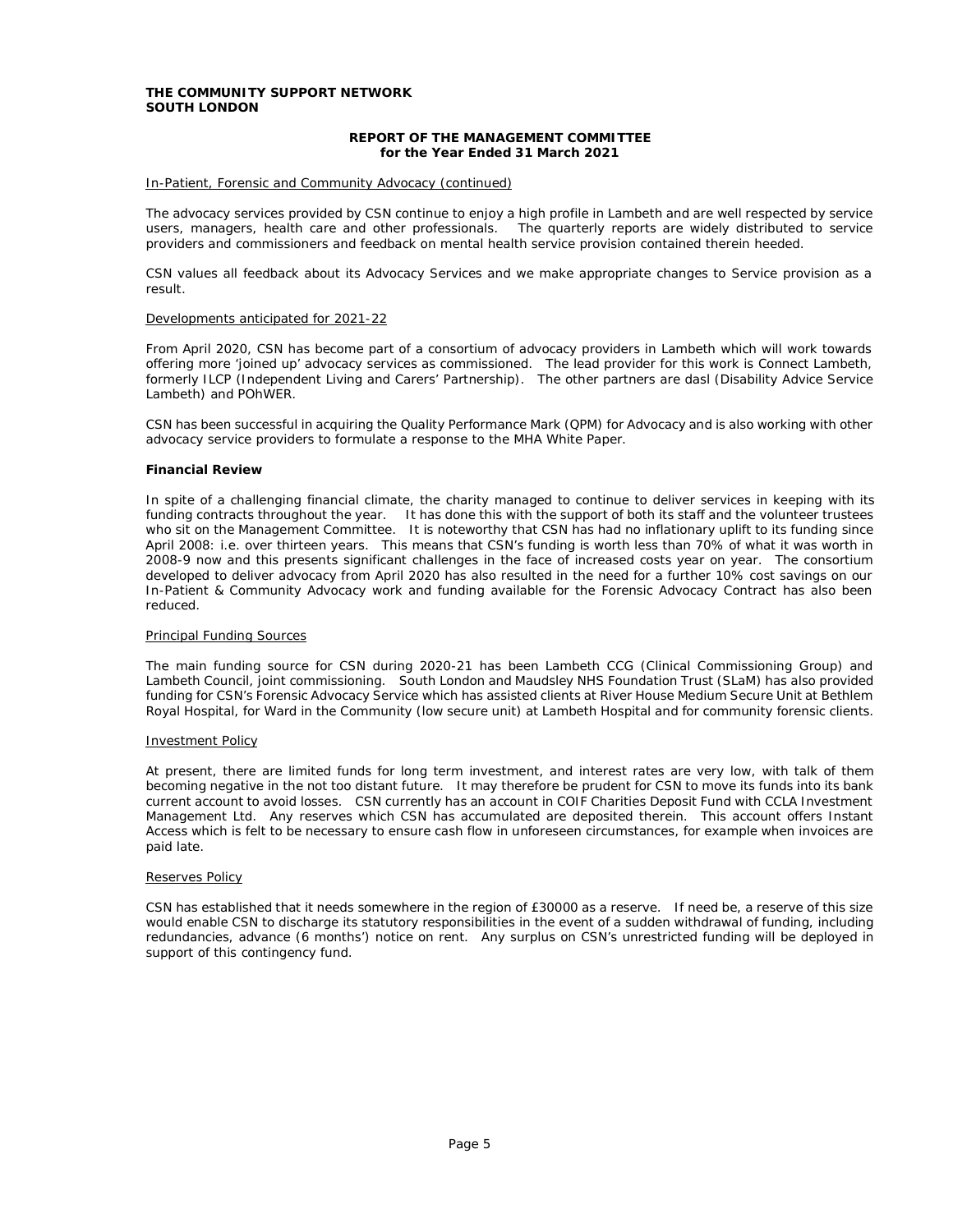### **REPORT OF THE MANAGEMENT COMMITTEE for the Year Ended 31 March 2021**

### In-Patient, Forensic and Community Advocacy (continued)

The advocacy services provided by CSN continue to enjoy a high profile in Lambeth and are well respected by service users, managers, health care and other professionals. The quarterly reports are widely distributed to service providers and commissioners and feedback on mental health service provision contained therein heeded.

CSN values all feedback about its Advocacy Services and we make appropriate changes to Service provision as a result.

#### Developments anticipated for 2021-22

From April 2020, CSN has become part of a consortium of advocacy providers in Lambeth which will work towards offering more 'joined up' advocacy services as commissioned. The lead provider for this work is Connect Lambeth, formerly ILCP (Independent Living and Carers' Partnership). The other partners are dasl (Disability Advice Service Lambeth) and POhWER.

CSN has been successful in acquiring the Quality Performance Mark (QPM) for Advocacy and is also working with other advocacy service providers to formulate a response to the MHA White Paper.

### **Financial Review**

In spite of a challenging financial climate, the charity managed to continue to deliver services in keeping with its funding contracts throughout the year. It has done this with the support of both its staff and the volunteer trustees who sit on the Management Committee. It is noteworthy that CSN has had no inflationary uplift to its funding since April 2008: i.e. over thirteen years. This means that CSN's funding is worth less than 70% of what it was worth in 2008-9 now and this presents significant challenges in the face of increased costs year on year. The consortium developed to deliver advocacy from April 2020 has also resulted in the need for a further 10% cost savings on our In-Patient & Community Advocacy work and funding available for the Forensic Advocacy Contract has also been reduced.

#### Principal Funding Sources

The main funding source for CSN during 2020-21 has been Lambeth CCG (Clinical Commissioning Group) and Lambeth Council, joint commissioning. South London and Maudsley NHS Foundation Trust (SLaM) has also provided funding for CSN's Forensic Advocacy Service which has assisted clients at River House Medium Secure Unit at Bethlem Royal Hospital, for Ward in the Community (low secure unit) at Lambeth Hospital and for community forensic clients.

### Investment Policy

At present, there are limited funds for long term investment, and interest rates are very low, with talk of them becoming negative in the not too distant future. It may therefore be prudent for CSN to move its funds into its bank current account to avoid losses. CSN currently has an account in COIF Charities Deposit Fund with CCLA Investment Management Ltd. Any reserves which CSN has accumulated are deposited therein. This account offers Instant Access which is felt to be necessary to ensure cash flow in unforeseen circumstances, for example when invoices are paid late.

#### Reserves Policy

CSN has established that it needs somewhere in the region of £30000 as a reserve. If need be, a reserve of this size would enable CSN to discharge its statutory responsibilities in the event of a sudden withdrawal of funding, including redundancies, advance (6 months') notice on rent. Any surplus on CSN's unrestricted funding will be deployed in support of this contingency fund.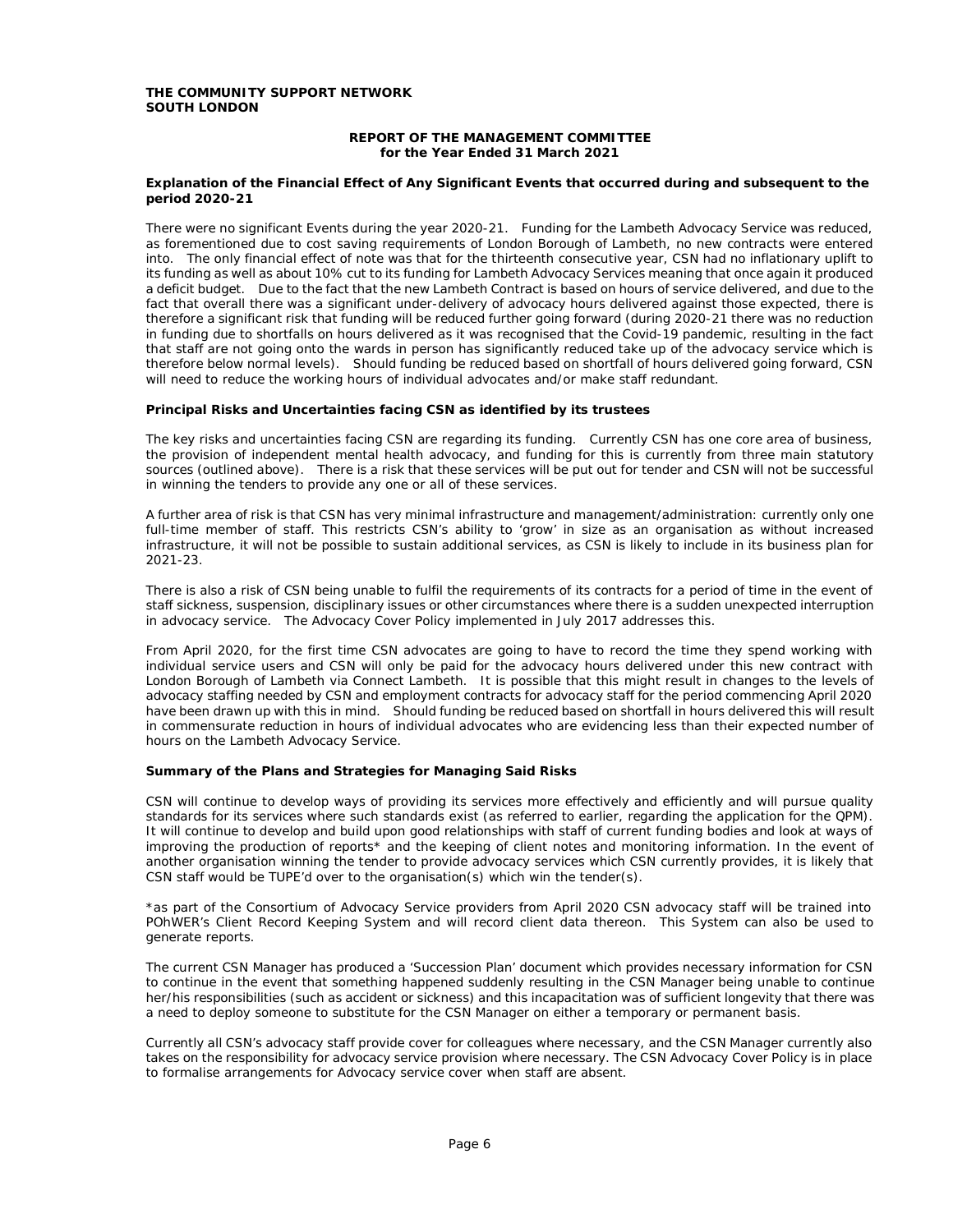### **REPORT OF THE MANAGEMENT COMMITTEE for the Year Ended 31 March 2021**

### **Explanation of the Financial Effect of Any Significant Events that occurred during and subsequent to the period 2020-21**

There were no significant Events during the year 2020-21. Funding for the Lambeth Advocacy Service was reduced, as forementioned due to cost saving requirements of London Borough of Lambeth, no new contracts were entered into. The only financial effect of note was that for the thirteenth consecutive year, CSN had no inflationary uplift to its funding as well as about 10% cut to its funding for Lambeth Advocacy Services meaning that once again it produced a deficit budget. Due to the fact that the new Lambeth Contract is based on hours of service delivered, and due to the fact that overall there was a significant under-delivery of advocacy hours delivered against those expected, there is therefore a significant risk that funding will be reduced further going forward (during 2020-21 there was no reduction in funding due to shortfalls on hours delivered as it was recognised that the Covid-19 pandemic, resulting in the fact that staff are not going onto the wards in person has significantly reduced take up of the advocacy service which is therefore below normal levels). Should funding be reduced based on shortfall of hours delivered going forward, CSN will need to reduce the working hours of individual advocates and/or make staff redundant.

### **Principal Risks and Uncertainties facing CSN as identified by its trustees**

The key risks and uncertainties facing CSN are regarding its funding. Currently CSN has one core area of business, the provision of independent mental health advocacy, and funding for this is currently from three main statutory sources (outlined above). There is a risk that these services will be put out for tender and CSN will not be successful in winning the tenders to provide any one or all of these services.

A further area of risk is that CSN has very minimal infrastructure and management/administration: currently only one full-time member of staff. This restricts CSN's ability to 'grow' in size as an organisation as without increased infrastructure, it will not be possible to sustain additional services, as CSN is likely to include in its business plan for 2021-23.

There is also a risk of CSN being unable to fulfil the requirements of its contracts for a period of time in the event of staff sickness, suspension, disciplinary issues or other circumstances where there is a sudden unexpected interruption in advocacy service. The Advocacy Cover Policy implemented in July 2017 addresses this.

From April 2020, for the first time CSN advocates are going to have to record the time they spend working with individual service users and CSN will only be paid for the advocacy hours delivered under this new contract with London Borough of Lambeth via Connect Lambeth. It is possible that this might result in changes to the levels of advocacy staffing needed by CSN and employment contracts for advocacy staff for the period commencing April 2020 have been drawn up with this in mind. Should funding be reduced based on shortfall in hours delivered this will result in commensurate reduction in hours of individual advocates who are evidencing less than their expected number of hours on the Lambeth Advocacy Service.

#### **Summary of the Plans and Strategies for Managing Said Risks**

CSN will continue to develop ways of providing its services more effectively and efficiently and will pursue quality standards for its services where such standards exist (as referred to earlier, regarding the application for the QPM). It will continue to develop and build upon good relationships with staff of current funding bodies and look at ways of improving the production of reports\* and the keeping of client notes and monitoring information. In the event of another organisation winning the tender to provide advocacy services which CSN currently provides, it is likely that CSN staff would be TUPE'd over to the organisation(s) which win the tender(s).

\*as part of the Consortium of Advocacy Service providers from April 2020 CSN advocacy staff will be trained into POhWER's Client Record Keeping System and will record client data thereon. This System can also be used to generate reports.

The current CSN Manager has produced a 'Succession Plan' document which provides necessary information for CSN to continue in the event that something happened suddenly resulting in the CSN Manager being unable to continue her/his responsibilities (such as accident or sickness) and this incapacitation was of sufficient longevity that there was a need to deploy someone to substitute for the CSN Manager on either a temporary or permanent basis.

Currently all CSN's advocacy staff provide cover for colleagues where necessary, and the CSN Manager currently also takes on the responsibility for advocacy service provision where necessary. The CSN Advocacy Cover Policy is in place to formalise arrangements for Advocacy service cover when staff are absent.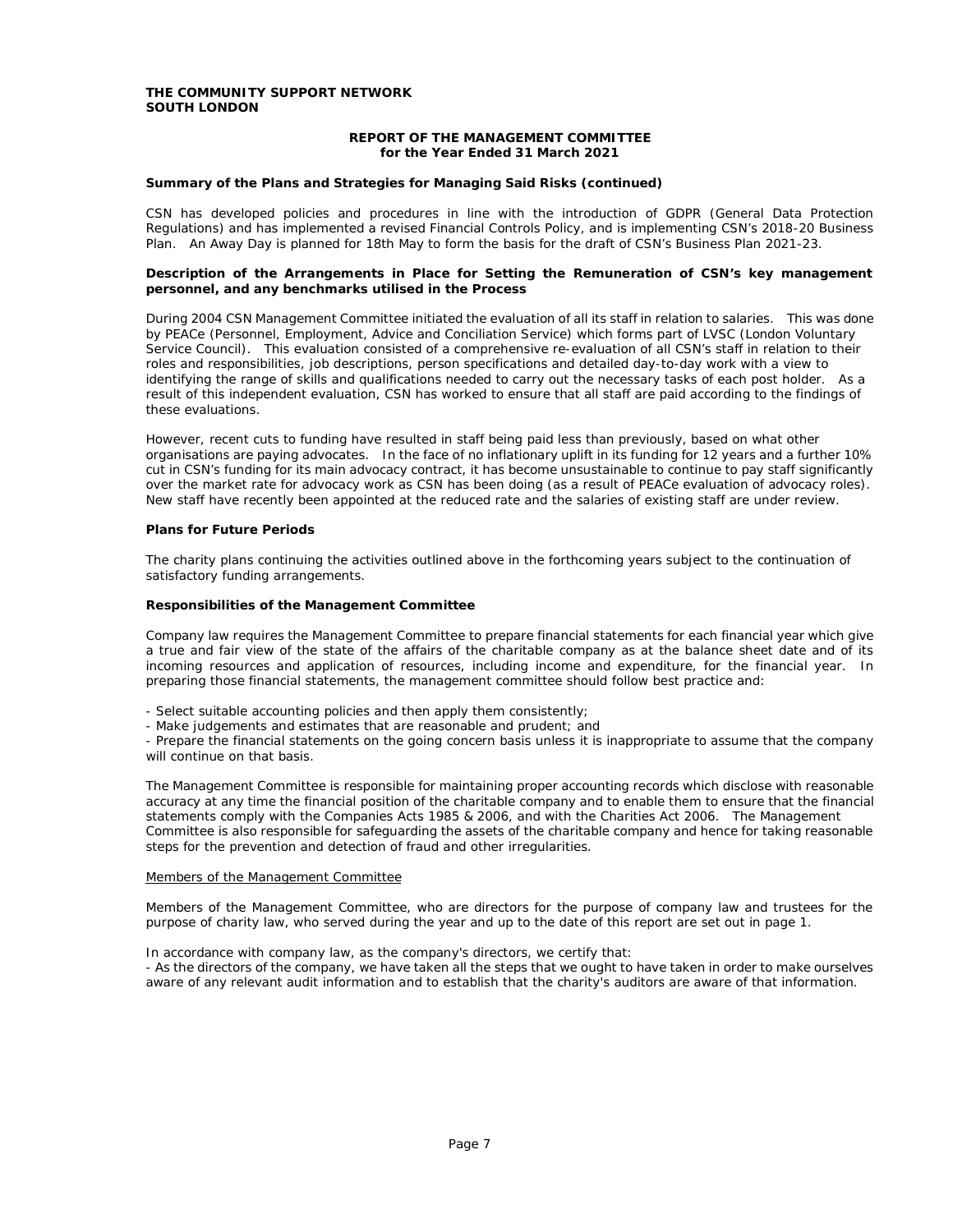### **REPORT OF THE MANAGEMENT COMMITTEE for the Year Ended 31 March 2021**

### **Summary of the Plans and Strategies for Managing Said Risks (continued)**

CSN has developed policies and procedures in line with the introduction of GDPR (General Data Protection Regulations) and has implemented a revised Financial Controls Policy, and is implementing CSN's 2018-20 Business Plan. An Away Day is planned for 18th May to form the basis for the draft of CSN's Business Plan 2021-23.

### **Description of the Arrangements in Place for Setting the Remuneration of CSN's key management personnel, and any benchmarks utilised in the Process**

During 2004 CSN Management Committee initiated the evaluation of all its staff in relation to salaries. This was done by PEACe (Personnel, Employment, Advice and Conciliation Service) which forms part of LVSC (London Voluntary Service Council). This evaluation consisted of a comprehensive re-evaluation of all CSN's staff in relation to their roles and responsibilities, job descriptions, person specifications and detailed day-to-day work with a view to identifying the range of skills and qualifications needed to carry out the necessary tasks of each post holder. As a result of this independent evaluation, CSN has worked to ensure that all staff are paid according to the findings of these evaluations.

However, recent cuts to funding have resulted in staff being paid less than previously, based on what other organisations are paying advocates. In the face of no inflationary uplift in its funding for 12 years and a further 10% cut in CSN's funding for its main advocacy contract, it has become unsustainable to continue to pay staff significantly over the market rate for advocacy work as CSN has been doing (as a result of PEACe evaluation of advocacy roles). New staff have recently been appointed at the reduced rate and the salaries of existing staff are under review.

### **Plans for Future Periods**

The charity plans continuing the activities outlined above in the forthcoming years subject to the continuation of satisfactory funding arrangements.

### **Responsibilities of the Management Committee**

Company law requires the Management Committee to prepare financial statements for each financial year which give a true and fair view of the state of the affairs of the charitable company as at the balance sheet date and of its incoming resources and application of resources, including income and expenditure, for the financial year. In preparing those financial statements, the management committee should follow best practice and:

- Select suitable accounting policies and then apply them consistently;
- Make judgements and estimates that are reasonable and prudent; and

- Prepare the financial statements on the going concern basis unless it is inappropriate to assume that the company will continue on that basis.

The Management Committee is responsible for maintaining proper accounting records which disclose with reasonable accuracy at any time the financial position of the charitable company and to enable them to ensure that the financial statements comply with the Companies Acts 1985 & 2006, and with the Charities Act 2006. The Management Committee is also responsible for safeguarding the assets of the charitable company and hence for taking reasonable steps for the prevention and detection of fraud and other irregularities.

#### Members of the Management Committee

Members of the Management Committee, who are directors for the purpose of company law and trustees for the purpose of charity law, who served during the year and up to the date of this report are set out in page 1.

In accordance with company law, as the company's directors, we certify that:

- As the directors of the company, we have taken all the steps that we ought to have taken in order to make ourselves aware of any relevant audit information and to establish that the charity's auditors are aware of that information.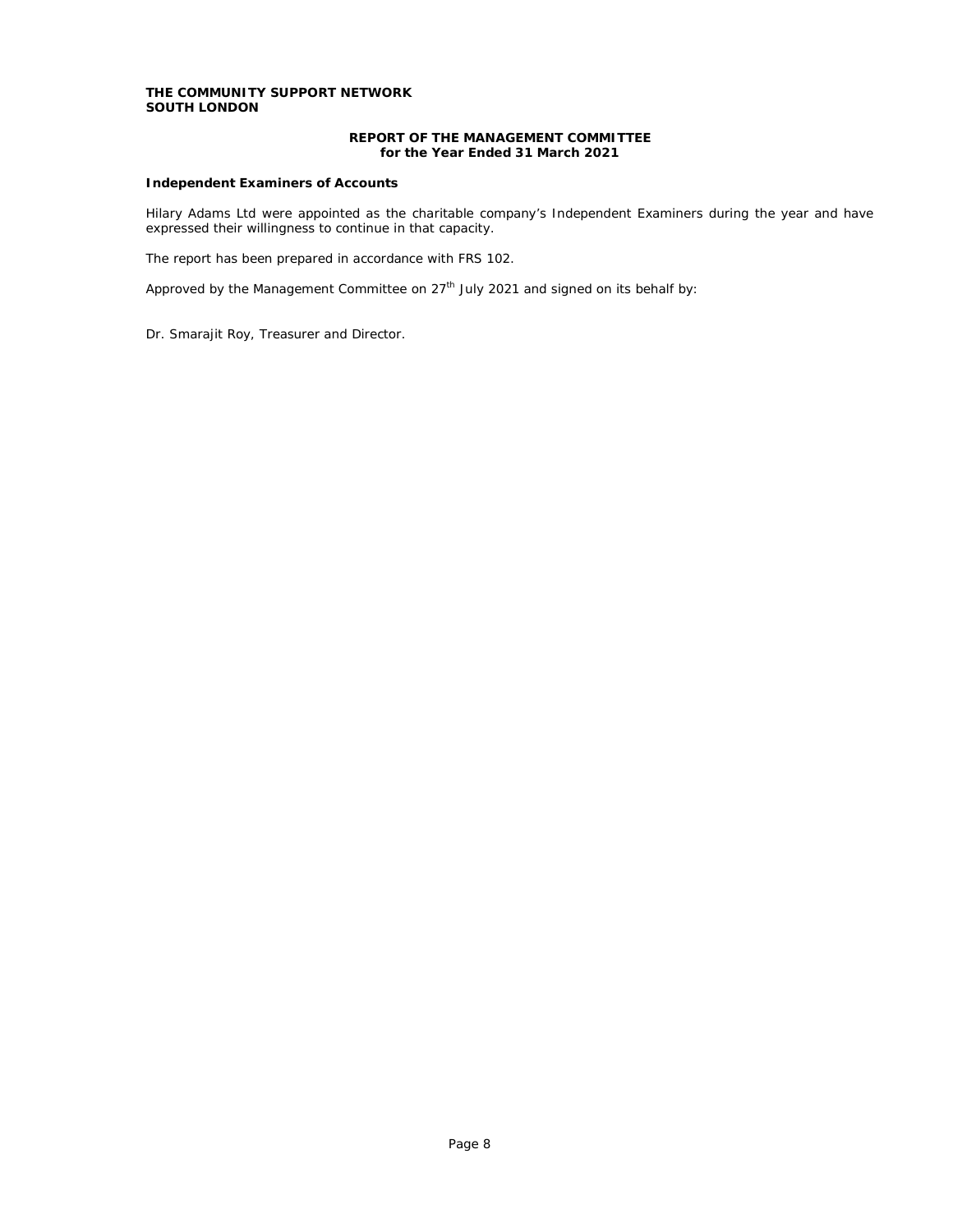# **REPORT OF THE MANAGEMENT COMMITTEE for the Year Ended 31 March 2021**

# **Independent Examiners of Accounts**

Hilary Adams Ltd were appointed as the charitable company's Independent Examiners during the year and have expressed their willingness to continue in that capacity.

The report has been prepared in accordance with FRS 102.

Approved by the Management Committee on  $27<sup>th</sup>$  July 2021 and signed on its behalf by:

Dr. Smarajit Roy, Treasurer and Director.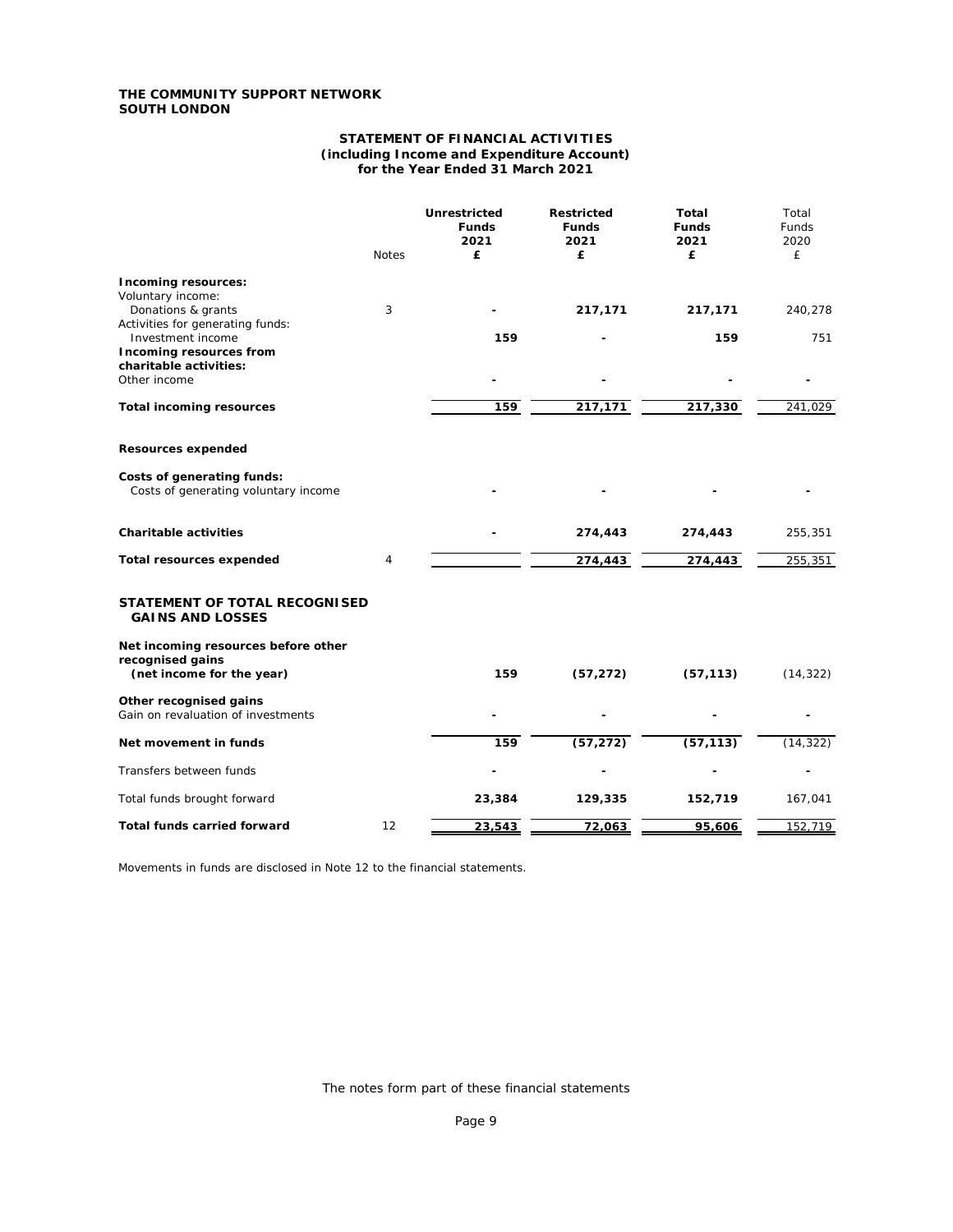### **STATEMENT OF FINANCIAL ACTIVITIES (including Income and Expenditure Account) for the Year Ended 31 March 2021**

|                                                                    | <b>Notes</b> | Unrestricted<br><b>Funds</b><br>2021<br>£ | <b>Restricted</b><br><b>Funds</b><br>2021<br>£ | Total<br><b>Funds</b><br>2021<br>£ | Total<br><b>Funds</b><br>2020<br>£ |
|--------------------------------------------------------------------|--------------|-------------------------------------------|------------------------------------------------|------------------------------------|------------------------------------|
| Incoming resources:<br>Voluntary income:                           |              |                                           |                                                |                                    |                                    |
| Donations & grants                                                 | 3            |                                           | 217,171                                        | 217,171                            | 240,278                            |
| Activities for generating funds:<br>Investment income              |              | 159                                       |                                                | 159                                | 751                                |
| Incoming resources from<br>charitable activities:<br>Other income  |              |                                           |                                                |                                    |                                    |
|                                                                    |              |                                           |                                                |                                    |                                    |
| <b>Total incoming resources</b>                                    |              | 159                                       | 217,171                                        | 217,330                            | 241,029                            |
| Resources expended                                                 |              |                                           |                                                |                                    |                                    |
| Costs of generating funds:<br>Costs of generating voluntary income |              |                                           |                                                |                                    |                                    |
| <b>Charitable activities</b>                                       |              |                                           | 274,443                                        | 274,443                            | 255,351                            |
| <b>Total resources expended</b>                                    | 4            |                                           | 274,443                                        | 274,443                            | 255,351                            |
| STATEMENT OF TOTAL RECOGNISED<br><b>GAINS AND LOSSES</b>           |              |                                           |                                                |                                    |                                    |
| Net incoming resources before other<br>recognised gains            |              |                                           |                                                |                                    |                                    |
| (net income for the year)                                          |              | 159                                       | (57, 272)                                      | (57, 113)                          | (14, 322)                          |
| Other recognised gains<br>Gain on revaluation of investments       |              |                                           |                                                |                                    |                                    |
| Net movement in funds                                              |              | 159                                       | (57, 272)                                      | (57, 113)                          | (14, 322)                          |
| Transfers between funds                                            |              |                                           |                                                |                                    |                                    |
| Total funds brought forward                                        |              | 23,384                                    | 129,335                                        | 152,719                            | 167,041                            |
| Total funds carried forward                                        | 12           | 23,543                                    | 72,063                                         | 95,606                             | 152,719                            |

Movements in funds are disclosed in Note 12 to the financial statements.

The notes form part of these financial statements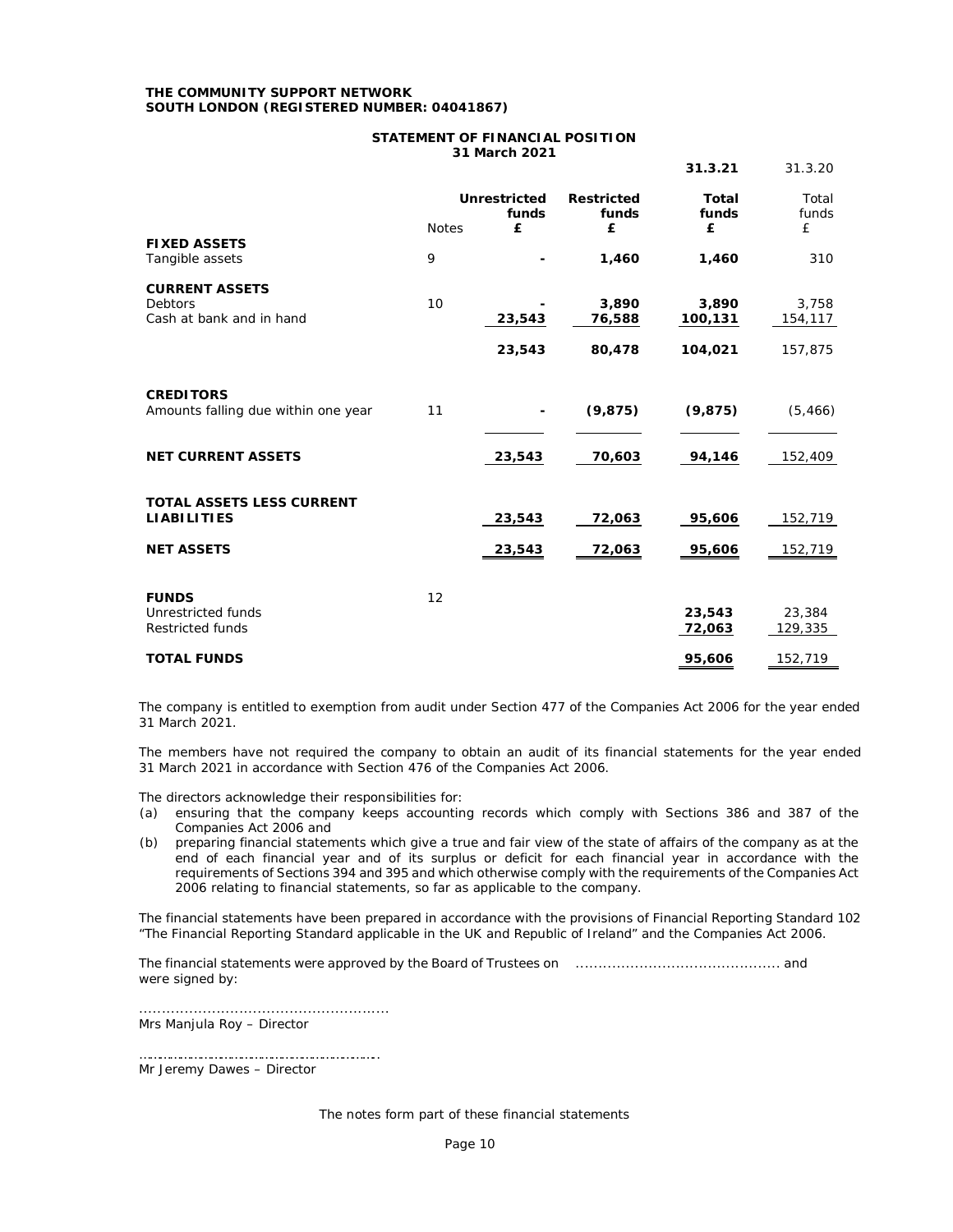### **THE COMMUNITY SUPPORT NETWORK SOUTH LONDON (REGISTERED NUMBER: 04041867)**

# **STATEMENT OF FINANCIAL POSITION 31 March 2021**

|                                                                      |              |                            |                                 | 31.3.21                    | 31.3.20             |
|----------------------------------------------------------------------|--------------|----------------------------|---------------------------------|----------------------------|---------------------|
|                                                                      | <b>Notes</b> | Unrestricted<br>funds<br>£ | <b>Restricted</b><br>funds<br>£ | <b>Total</b><br>funds<br>£ | Total<br>funds<br>£ |
| <b>FIXED ASSETS</b><br>Tangible assets                               | 9            |                            | 1,460                           | 1,460                      | 310                 |
| <b>CURRENT ASSETS</b><br><b>Debtors</b><br>Cash at bank and in hand  | 10           | 23,543                     | 3,890<br>76,588                 | 3,890<br>100,131           | 3,758<br>154,117    |
|                                                                      |              | 23,543                     | 80,478                          | 104,021                    | 157,875             |
| <b>CREDITORS</b><br>Amounts falling due within one year              | 11           |                            | (9, 875)                        | (9, 875)                   | (5, 466)            |
| <b>NET CURRENT ASSETS</b>                                            |              | 23,543                     | 70,603                          | 94,146                     | 152,409             |
| <b>TOTAL ASSETS LESS CURRENT</b><br><b>LIABILITIES</b>               |              | 23,543                     | 72,063                          | 95,606                     | 152,719             |
| <b>NET ASSETS</b>                                                    |              | 23,543                     | 72,063                          | 95,606                     | 152,719             |
| <b>FUNDS</b><br><b>Unrestricted funds</b><br><b>Restricted funds</b> | 12           |                            |                                 | 23,543<br>72,063           | 23,384<br>129,335   |
| <b>TOTAL FUNDS</b>                                                   |              |                            |                                 | 95,606                     | 152,719             |

The company is entitled to exemption from audit under Section 477 of the Companies Act 2006 for the year ended 31 March 2021.

The members have not required the company to obtain an audit of its financial statements for the year ended 31 March 2021 in accordance with Section 476 of the Companies Act 2006.

The directors acknowledge their responsibilities for:

- (a) ensuring that the company keeps accounting records which comply with Sections 386 and 387 of the Companies Act 2006 and
- (b) preparing financial statements which give a true and fair view of the state of affairs of the company as at the end of each financial year and of its surplus or deficit for each financial year in accordance with the requirements of Sections 394 and 395 and which otherwise comply with the requirements of the Companies Act 2006 relating to financial statements, so far as applicable to the company.

The financial statements have been prepared in accordance with the provisions of Financial Reporting Standard 102 "The Financial Reporting Standard applicable in the UK and Republic of Ireland" and the Companies Act 2006.

The financial statements were approved by the Board of Trustees on ............................................. and were signed by:

....................................................... Mrs Manjula Roy – Director

…………………………………………………………….. Mr Jeremy Dawes – Director

The notes form part of these financial statements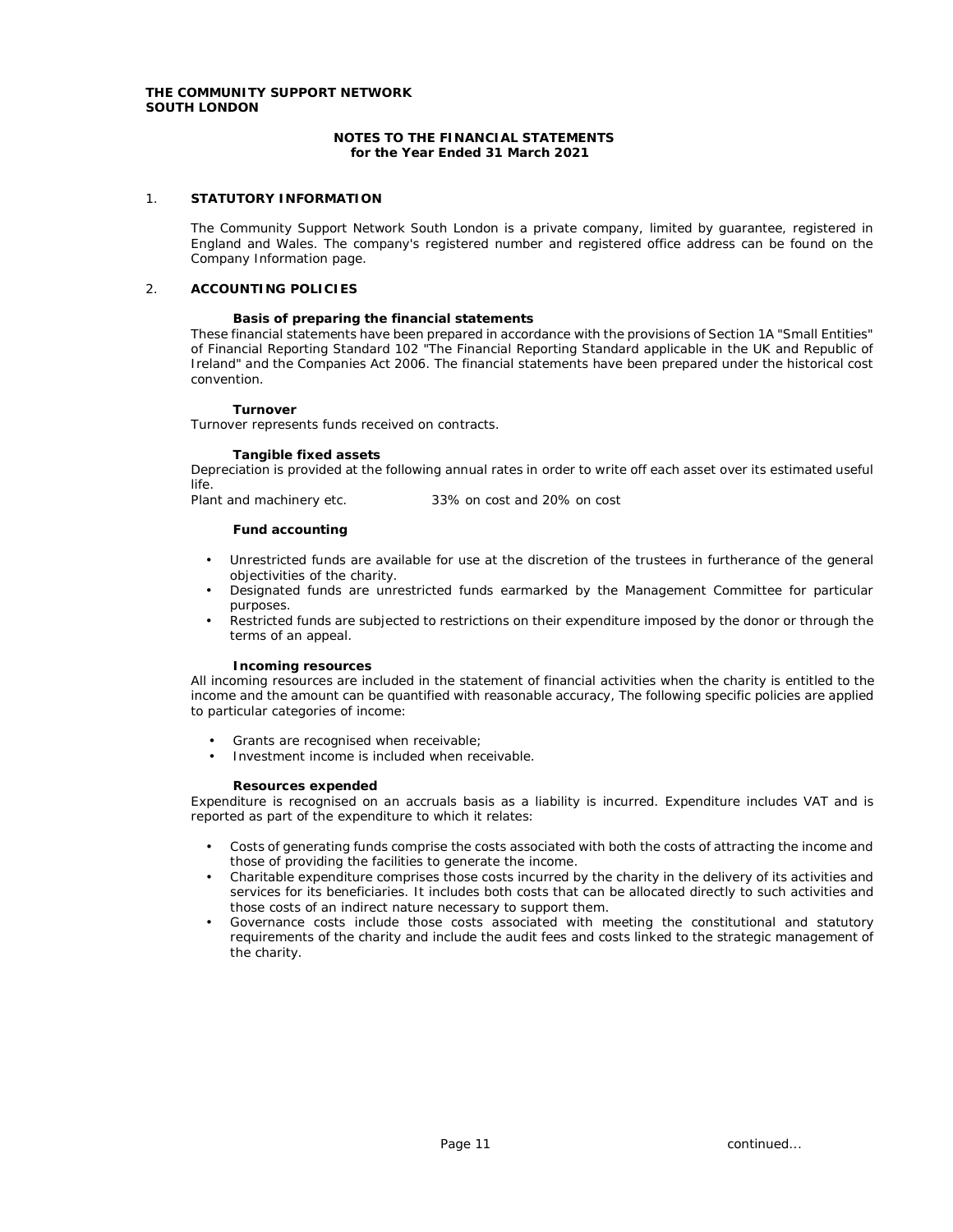### **NOTES TO THE FINANCIAL STATEMENTS for the Year Ended 31 March 2021**

## 1. **STATUTORY INFORMATION**

The Community Support Network South London is a private company, limited by guarantee, registered in England and Wales. The company's registered number and registered office address can be found on the Company Information page.

### 2. **ACCOUNTING POLICIES**

### **Basis of preparing the financial statements**

These financial statements have been prepared in accordance with the provisions of Section 1A "Small Entities" of Financial Reporting Standard 102 "The Financial Reporting Standard applicable in the UK and Republic of Ireland" and the Companies Act 2006. The financial statements have been prepared under the historical cost convention.

#### **Turnover**

Turnover represents funds received on contracts.

#### **Tangible fixed assets**

Depreciation is provided at the following annual rates in order to write off each asset over its estimated useful life.

Plant and machinery etc. 33% on cost and 20% on cost

**Fund accounting**

- Unrestricted funds are available for use at the discretion of the trustees in furtherance of the general objectivities of the charity.
- Designated funds are unrestricted funds earmarked by the Management Committee for particular purposes.
- Restricted funds are subjected to restrictions on their expenditure imposed by the donor or through the terms of an appeal.

### **Incoming resources**

All incoming resources are included in the statement of financial activities when the charity is entitled to the income and the amount can be quantified with reasonable accuracy, The following specific policies are applied to particular categories of income:

- Grants are recognised when receivable;
- Investment income is included when receivable.

#### **Resources expended**

Expenditure is recognised on an accruals basis as a liability is incurred. Expenditure includes VAT and is reported as part of the expenditure to which it relates:

- Costs of generating funds comprise the costs associated with both the costs of attracting the income and those of providing the facilities to generate the income.
- Charitable expenditure comprises those costs incurred by the charity in the delivery of its activities and services for its beneficiaries. It includes both costs that can be allocated directly to such activities and those costs of an indirect nature necessary to support them.
- Governance costs include those costs associated with meeting the constitutional and statutory requirements of the charity and include the audit fees and costs linked to the strategic management of the charity.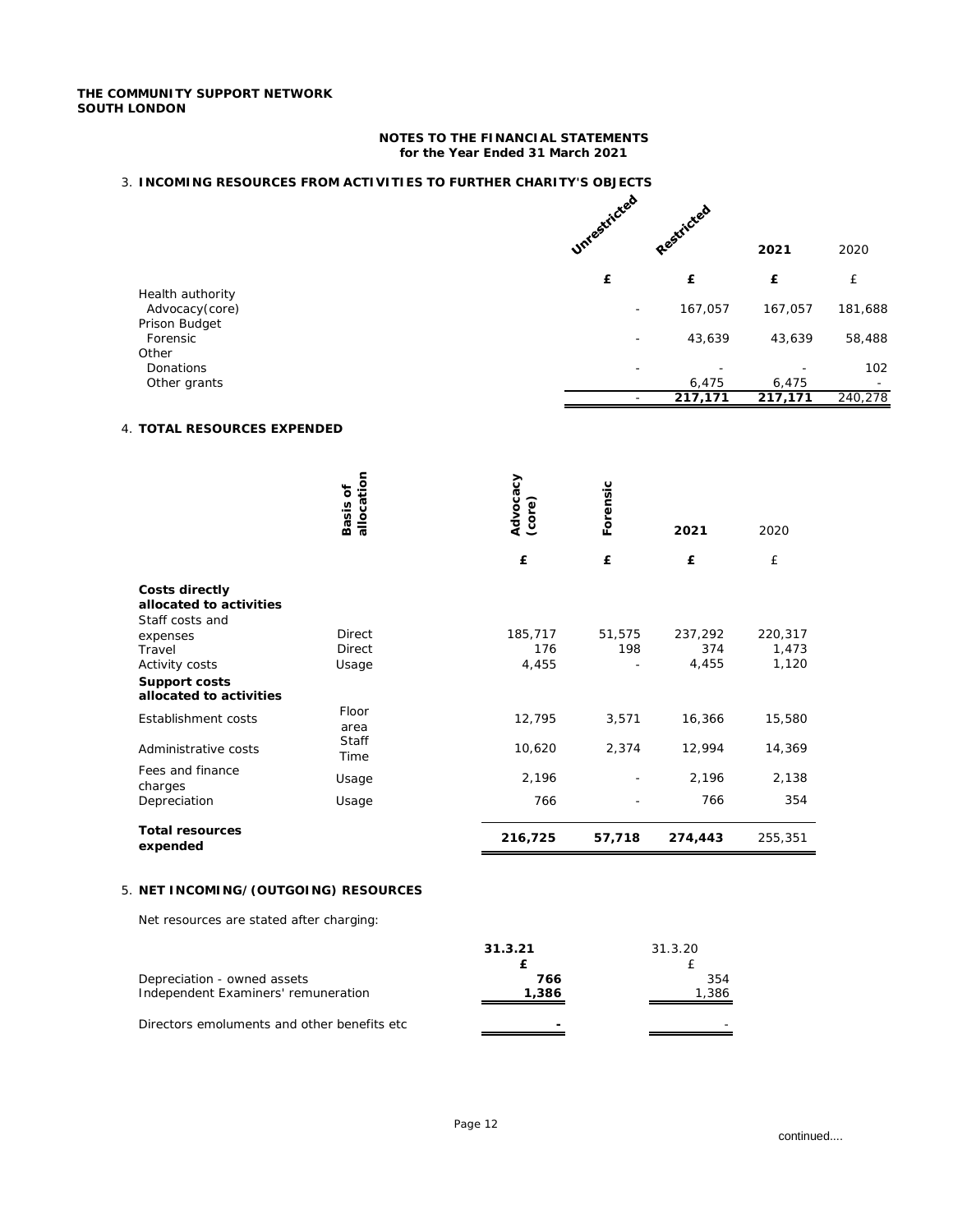### **NOTES TO THE FINANCIAL STATEMENTS for the Year Ended 31 March 2021**

# 3. **INCOMING RESOURCES FROM ACTIVITIES TO FURTHER CHARITY'S OBJECTS**

|                                    | Unrestricted             | Restricted |         |         |
|------------------------------------|--------------------------|------------|---------|---------|
|                                    |                          |            | 2021    | 2020    |
|                                    | £                        | £          | £       | £       |
| Health authority<br>Advocacy(core) | $\overline{\phantom{0}}$ | 167,057    | 167,057 | 181,688 |
| <b>Prison Budget</b><br>Forensic   | ۰                        | 43,639     | 43,639  | 58,488  |
| Other                              |                          |            |         |         |
| Donations<br>Other grants          | -                        | 6,475      | 6,475   | 102     |
|                                    |                          | 217,171    | 217,171 | 240,278 |

# 4. **TOTAL RESOURCES EXPENDED**

|                                                                     | allocation<br>ð<br>Basis | Advocacy<br>(core) | Forensic | 2021    | 2020    |
|---------------------------------------------------------------------|--------------------------|--------------------|----------|---------|---------|
|                                                                     |                          | £                  | £        | £       | £       |
| <b>Costs directly</b><br>allocated to activities<br>Staff costs and |                          |                    |          |         |         |
| expenses                                                            | Direct                   | 185,717            | 51,575   | 237,292 | 220,317 |
| <b>Travel</b>                                                       | <b>Direct</b>            | 176                | 198      | 374     | 1,473   |
| <b>Activity costs</b>                                               | Usage                    | 4,455              |          | 4,455   | 1,120   |
| Support costs<br>allocated to activities                            |                          |                    |          |         |         |
| <b>Establishment costs</b>                                          | Floor<br>area            | 12,795             | 3,571    | 16,366  | 15,580  |
| Administrative costs                                                | <b>Staff</b><br>Time     | 10,620             | 2,374    | 12,994  | 14,369  |
| Fees and finance<br>charges                                         | Usage                    | 2,196              |          | 2,196   | 2,138   |
| Depreciation                                                        | Usage                    | 766                |          | 766     | 354     |
| <b>Total resources</b><br>expended                                  |                          | 216,725            | 57,718   | 274,443 | 255,351 |
|                                                                     |                          |                    |          |         |         |

# 5. **NET INCOMING/(OUTGOING) RESOURCES**

Net resources are stated after charging:

|                                                                    | 31.3.21                  | 31.3.20      |
|--------------------------------------------------------------------|--------------------------|--------------|
| Depreciation - owned assets<br>Independent Examiners' remuneration | 766<br>1,386             | 354<br>1,386 |
| Directors emoluments and other benefits etc.                       | $\overline{\phantom{0}}$ |              |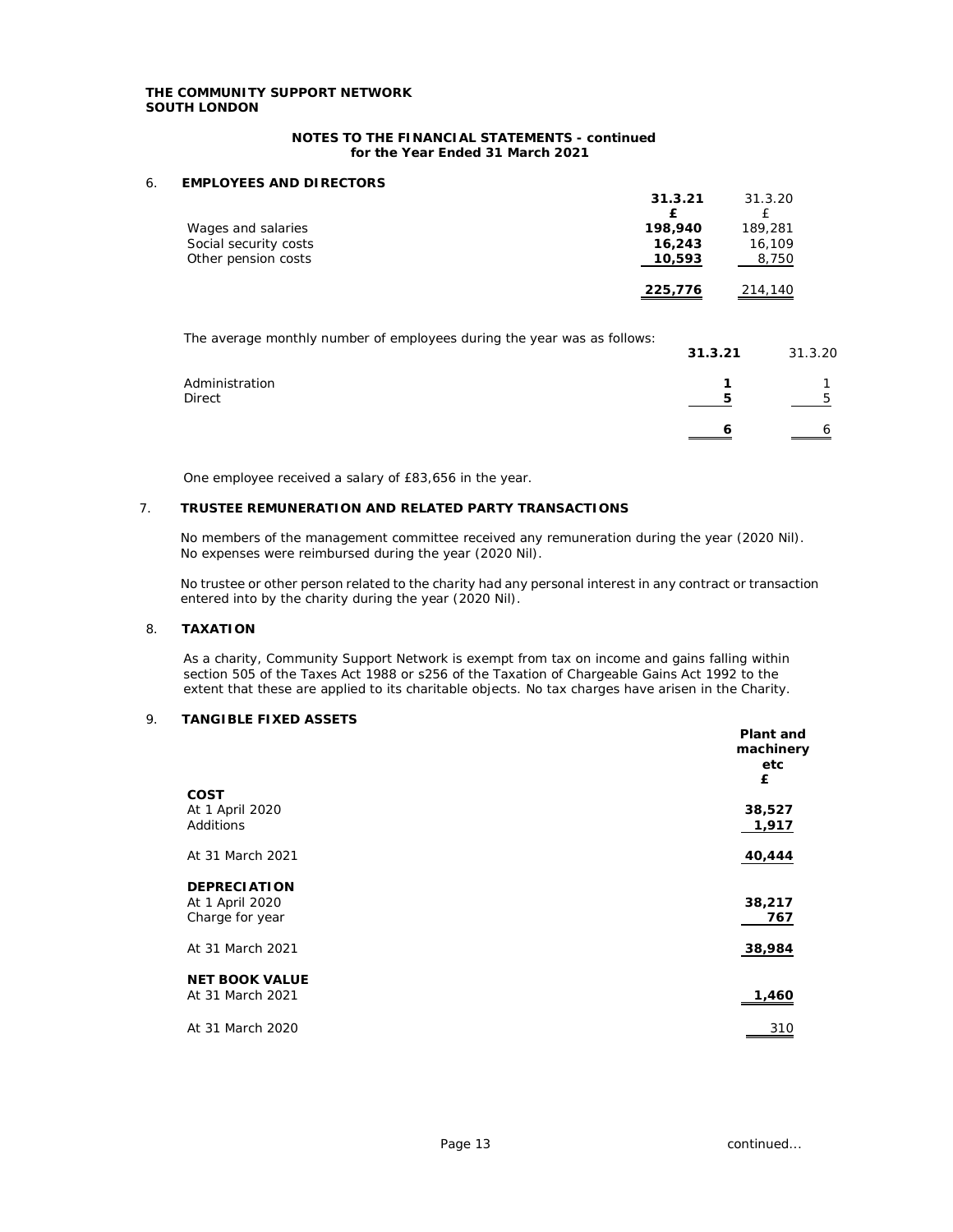### **NOTES TO THE FINANCIAL STATEMENTS - continued for the Year Ended 31 March 2021**

### 6. **EMPLOYEES AND DIRECTORS**

|                       | 31.3.21 | 31.3.20 |
|-----------------------|---------|---------|
| Wages and salaries    | 198,940 | 189,281 |
| Social security costs | 16,243  | 16,109  |
| Other pension costs   | 10,593  | 8,750   |
|                       | 225,776 | 214,140 |

The average monthly number of employees during the year was as follows:

| The average monthly number of employees during the year was as follows. | 31.3.21 | 31.3.20 |
|-------------------------------------------------------------------------|---------|---------|
| Administration                                                          |         |         |
| <b>Direct</b>                                                           | 5       |         |
|                                                                         | h       |         |

One employee received a salary of £83,656 in the year.

### 7. **TRUSTEE REMUNERATION AND RELATED PARTY TRANSACTIONS**

No members of the management committee received any remuneration during the year (2020 Nil). No expenses were reimbursed during the year (2020 Nil).

No trustee or other person related to the charity had any personal interest in any contract or transaction entered into by the charity during the year (2020 Nil).

### 8. **TAXATION**

As a charity, Community Support Network is exempt from tax on income and gains falling within section 505 of the Taxes Act 1988 or s256 of the Taxation of Chargeable Gains Act 1992 to the extent that these are applied to its charitable objects. No tax charges have arisen in the Charity.

# 9. **TANGIBLE FIXED ASSETS**

|                       | Plant and<br>machinery<br>etc |
|-----------------------|-------------------------------|
|                       | £                             |
| <b>COST</b>           |                               |
| At 1 April 2020       | 38,527                        |
| <b>Additions</b>      | 1,917                         |
| At 31 March 2021      | 40,444                        |
| <b>DEPRECIATION</b>   |                               |
| At 1 April 2020       | 38,217                        |
| Charge for year       | 767                           |
| At 31 March 2021      | 38,984                        |
| <b>NET BOOK VALUE</b> |                               |
| At 31 March 2021      | 1,460                         |
| At 31 March 2020      | 310                           |
|                       |                               |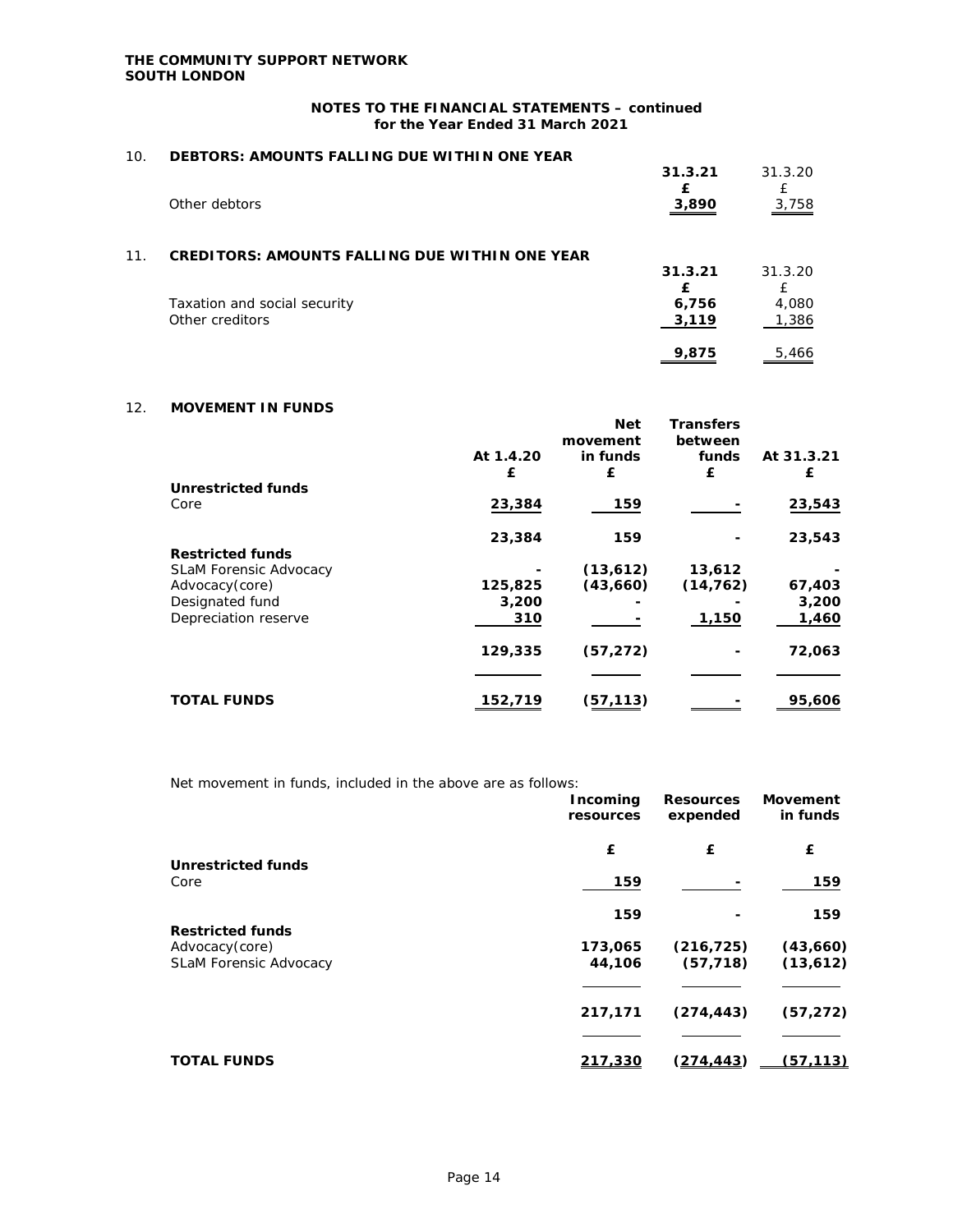# **NOTES TO THE FINANCIAL STATEMENTS – continued for the Year Ended 31 March 2021**

| 10. | DEBTORS: AMOUNTS FALLING DUE WITHIN ONE YEAR          |         |         |
|-----|-------------------------------------------------------|---------|---------|
|     |                                                       | 31.3.21 | 31.3.20 |
|     |                                                       | f       |         |
|     | Other debtors                                         | 3,890   | 3,758   |
|     |                                                       |         |         |
| 11. | <b>CREDITORS: AMOUNTS FALLING DUE WITHIN ONE YEAR</b> |         |         |
|     |                                                       | 31.3.21 | 31.3.20 |
|     |                                                       | f       | £       |
|     | <b>Taxation and social security</b>                   | 6,756   | 4,080   |
|     | Other creditors                                       | 3,119   | 1,386   |
|     |                                                       | 9.875   | 5,466   |
|     |                                                       |         |         |

# 12. **MOVEMENT IN FUNDS**

|           |           | <b>Transfers</b>       |            |
|-----------|-----------|------------------------|------------|
| At 1.4.20 | in funds  | funds                  | At 31.3.21 |
| £         | £         | £                      | £          |
|           |           |                        |            |
| 23,384    | 159       |                        | 23,543     |
| 23,384    | 159       |                        | 23,543     |
|           |           |                        |            |
|           | (13,612)  | 13,612                 |            |
| 125,825   | (43,660)  | (14, 762)              | 67,403     |
|           |           |                        | 3,200      |
| 310       |           | 1,150                  | 1,460      |
| 129,335   | (57, 272) |                        | 72,063     |
|           |           |                        |            |
| 152,719   | (57,113)  |                        | 95,606     |
|           | 3,200     | <b>Net</b><br>movement | between    |

|  | Net movement in funds, included in the above are as follows: |
|--|--------------------------------------------------------------|
|--|--------------------------------------------------------------|

|                               | Incoming<br>resources | <b>Resources</b><br>expended | Movement<br>in funds |
|-------------------------------|-----------------------|------------------------------|----------------------|
|                               | £                     | £                            | £                    |
| <b>Unrestricted funds</b>     |                       |                              |                      |
| Core                          | 159                   |                              | 159                  |
|                               | 159                   |                              | 159                  |
| <b>Restricted funds</b>       |                       |                              |                      |
| Advocacy(core)                | 173,065               | (216, 725)                   | (43,660)             |
| <b>SLaM Forensic Advocacy</b> | 44,106                | (57, 718)                    | (13,612)             |
|                               |                       |                              |                      |
|                               | 217,171               | (274, 443)                   | (57, 272)            |
|                               |                       |                              |                      |
| <b>TOTAL FUNDS</b>            | 217,330               | <u>(274,443)</u>             | (57.113)             |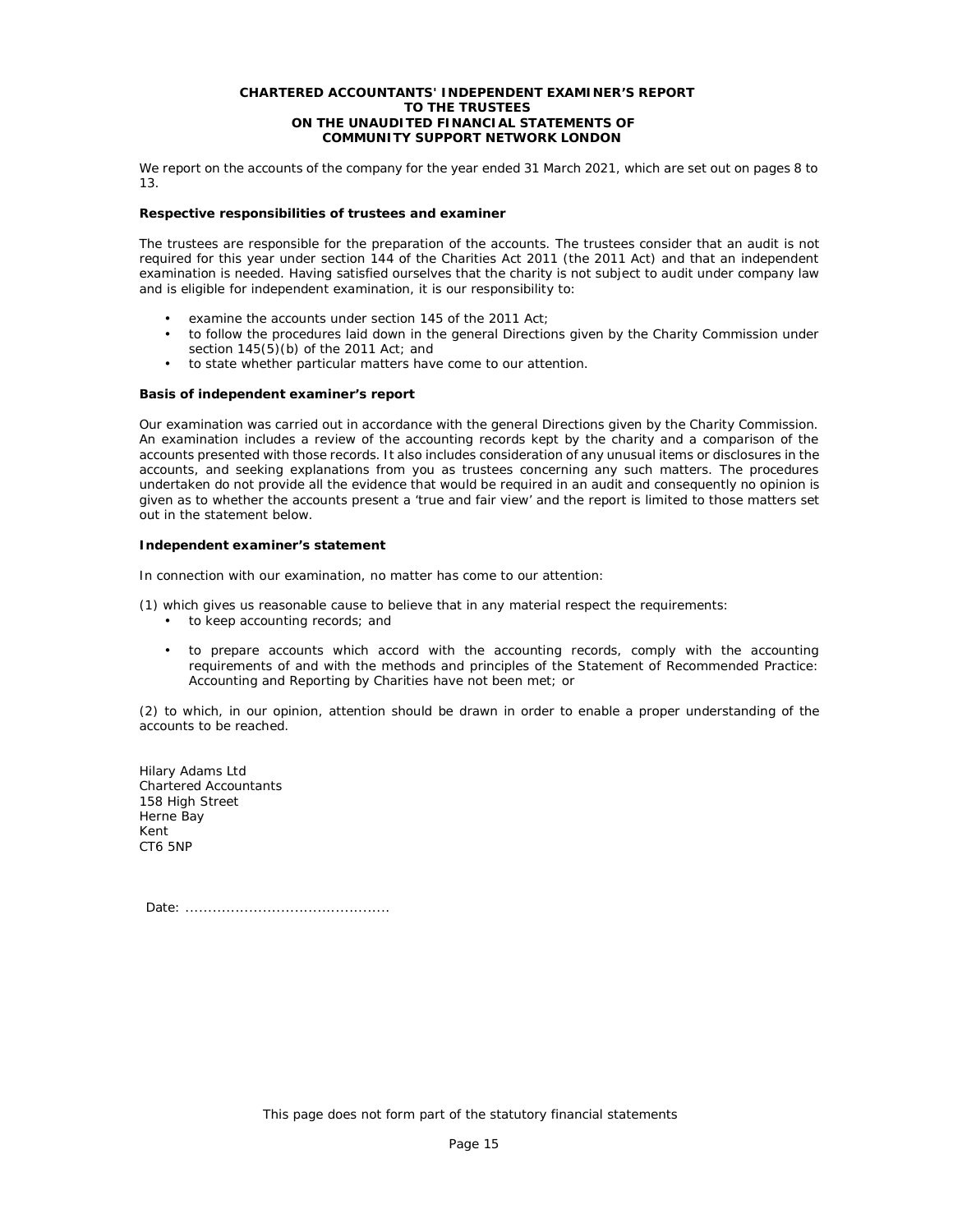#### **CHARTERED ACCOUNTANTS' INDEPENDENT EXAMINER'S REPORT TO THE TRUSTEES ON THE UNAUDITED FINANCIAL STATEMENTS OF COMMUNITY SUPPORT NETWORK LONDON**

We report on the accounts of the company for the year ended 31 March 2021, which are set out on pages 8 to 13.

### **Respective responsibilities of trustees and examiner**

The trustees are responsible for the preparation of the accounts. The trustees consider that an audit is not required for this year under section 144 of the Charities Act 2011 (the 2011 Act) and that an independent examination is needed. Having satisfied ourselves that the charity is not subject to audit under company law and is eligible for independent examination, it is our responsibility to:

- examine the accounts under section 145 of the 2011 Act;
- to follow the procedures laid down in the general Directions given by the Charity Commission under section  $145(5)(b)$  of the 2011 Act; and
- to state whether particular matters have come to our attention.

### **Basis of independent examiner's report**

Our examination was carried out in accordance with the general Directions given by the Charity Commission. An examination includes a review of the accounting records kept by the charity and a comparison of the accounts presented with those records. It also includes consideration of any unusual items or disclosures in the accounts, and seeking explanations from you as trustees concerning any such matters. The procedures undertaken do not provide all the evidence that would be required in an audit and consequently no opinion is given as to whether the accounts present a 'true and fair view' and the report is limited to those matters set out in the statement below.

### **Independent examiner's statement**

In connection with our examination, no matter has come to our attention:

- (1) which gives us reasonable cause to believe that in any material respect the requirements:
	- to keep accounting records; and
	- to prepare accounts which accord with the accounting records, comply with the accounting requirements of and with the methods and principles of the Statement of Recommended Practice: Accounting and Reporting by Charities have not been met; or

(2) to which, in our opinion, attention should be drawn in order to enable a proper understanding of the accounts to be reached.

Hilary Adams Ltd Chartered Accountants 158 High Street Herne Bay Kent CT6 5NP

Date: .............................................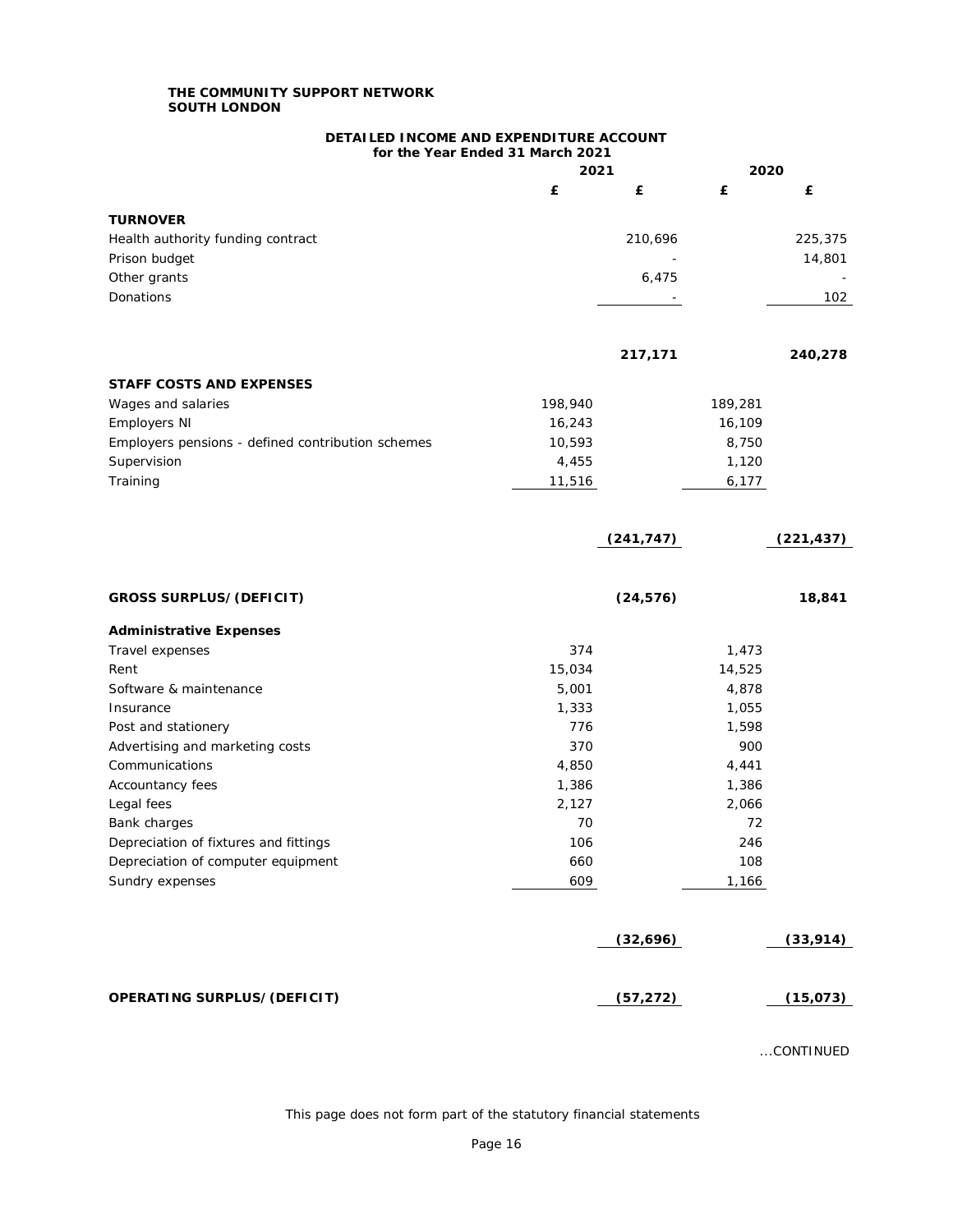## **DETAILED INCOME AND EXPENDITURE ACCOUNT for the Year Ended 31 March 2021**

|                                                   | 2021    |            | 2020    |            |
|---------------------------------------------------|---------|------------|---------|------------|
|                                                   | £       | £          | £       | £          |
|                                                   |         |            |         |            |
| <b>TURNOVER</b>                                   |         |            |         |            |
| Health authority funding contract                 |         | 210,696    |         | 225,375    |
| Prison budget<br>Other grants                     |         | 6,475      |         | 14,801     |
| <b>Donations</b>                                  |         |            |         | 102        |
|                                                   |         |            |         |            |
|                                                   |         |            |         |            |
|                                                   |         | 217,171    |         | 240,278    |
| <b>STAFF COSTS AND EXPENSES</b>                   |         |            |         |            |
| Wages and salaries                                | 198,940 |            | 189,281 |            |
| <b>Employers NI</b>                               | 16,243  |            | 16,109  |            |
| Employers pensions - defined contribution schemes | 10,593  |            | 8,750   |            |
| Supervision                                       | 4,455   |            | 1,120   |            |
| Training                                          | 11,516  |            | 6,177   |            |
|                                                   |         |            |         |            |
|                                                   |         | (241, 747) |         | (221, 437) |
|                                                   |         |            |         |            |
| <b>GROSS SURPLUS/(DEFICIT)</b>                    |         | (24, 576)  |         | 18,841     |
| <b>Administrative Expenses</b>                    |         |            |         |            |
| <b>Travel expenses</b>                            | 374     |            | 1,473   |            |
| Rent                                              | 15,034  |            | 14,525  |            |
| Software & maintenance                            | 5,001   |            | 4,878   |            |
| Insurance                                         | 1,333   |            | 1,055   |            |
| Post and stationery                               | 776     |            | 1,598   |            |
| Advertising and marketing costs                   | 370     |            | 900     |            |
| Communications                                    | 4,850   |            | 4,441   |            |
| Accountancy fees                                  | 1,386   |            | 1,386   |            |
| Legal fees                                        | 2,127   |            | 2,066   |            |
| <b>Bank charges</b>                               | 70      |            | 72      |            |
| Depreciation of fixtures and fittings             | 106     |            | 246     |            |
| Depreciation of computer equipment                | 660     |            | 108     |            |
| Sundry expenses                                   | 609     |            | 1,166   |            |
|                                                   |         |            |         |            |
|                                                   |         | (32, 696)  |         | (33, 914)  |
| OPERATING SURPLUS/(DEFICIT)                       |         | (57, 272)  |         | (15, 073)  |
|                                                   |         |            |         |            |

...CONTINUED

This page does not form part of the statutory financial statements